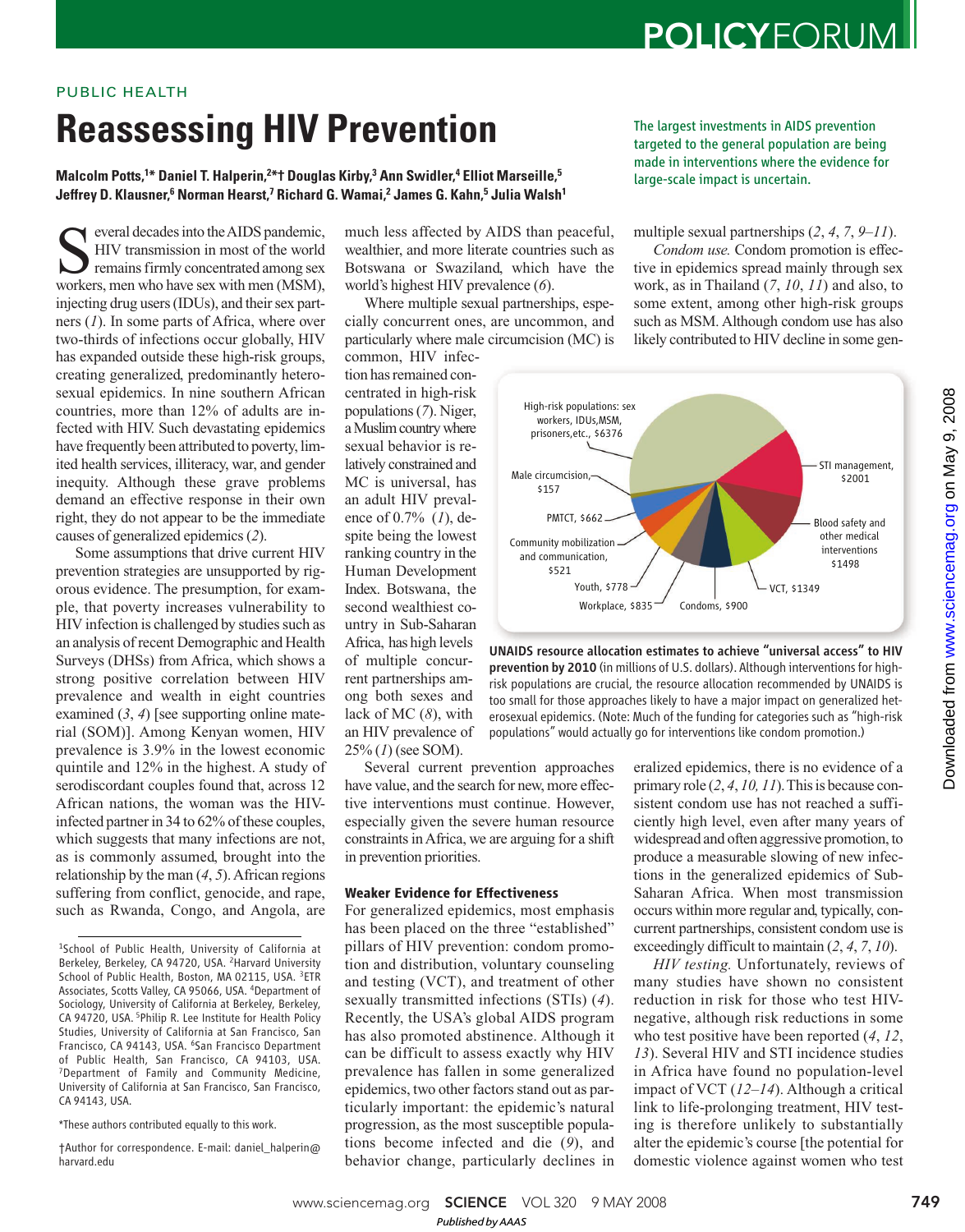## **POLICYFORUM**

### PUBLIC HEALTH

# **Reassessing HIV Prevention**

**Malcolm Potts,<sup>1</sup>\* Daniel T. Halperin,<sup>2</sup>\*† Douglas Kirby,<sup>3</sup> Ann Swidler,<sup>4</sup> Elliot Marseille,<sup>5</sup> Jeffrey D. Klausner,<sup>6</sup> Norman Hearst,<sup>7</sup> Richard G. Wamai,<sup>2</sup> James G. Kahn,<sup>5</sup> Julia Walsh<sup>1</sup>**

Several decades into the AIDS pandemic,<br>HIV transmission in most of the world<br>remains firmly concentrated among sex<br>workers, men who have sex with men (MSM), everal decades into the AIDS pandemic, HIV transmission in most of the world remains firmly concentrated among sex injecting drug users (IDUs), and their sex partners (*1*). In some parts of Africa, where over two-thirds of infections occur globally, HIV has expanded outside these high-risk groups, creating generalized, predominantly heterosexual epidemics. In nine southern African countries, more than 12% of adults are infected with HIV. Such devastating epidemics have frequently been attributed to poverty, limited health services, illiteracy, war, and gender inequity. Although these grave problems demand an effective response in their own right, they do not appear to be the immediate causes of generalized epidemics (*2*).

Some assumptions that drive current HIV prevention strategies are unsupported by rigorous evidence. The presumption, for example, that poverty increases vulnerability to HIV infection is challenged by studies such as an analysis of recent Demographic and Health Surveys (DHSs) from Africa, which shows a strong positive correlation between HIV prevalence and wealth in eight countries examined  $(3, 4)$  [see supporting online material (SOM)]. Among Kenyan women, HIV prevalence is 3.9% in the lowest economic quintile and 12% in the highest. A study of serodiscordant couples found that, across 12 African nations, the woman was the HIVinfected partner in 34 to 62% of these couples, which suggests that many infections are not, as is commonly assumed, brought into the relationship by the man (*4*, *5*). African regions suffering from conflict, genocide, and rape, such as Rwanda, Congo, and Angola, are

\*These authors contributed equally to this work.

†Author for correspondence. E-mail: daniel\_halperin@ harvard.edu

much less affected by AIDS than peaceful, wealthier, and more literate countries such as Botswana or Swaziland, which have the world's highest HIV prevalence (*6*).

Where multiple sexual partnerships, especially concurrent ones, are uncommon, and particularly where male circumcision (MC) is

common, HIV infection has remained concentrated in high-risk populations (*7*). Niger, a Muslim country where sexual behavior is relatively constrained and MC is universal, has an adult HIV prevalence of 0.7% (*1*), despite being the lowest ranking country in the Human Development Index. Botswana, the second wealthiest country in Sub-Saharan Africa, has high levels of multiple concurrent partnerships among both sexes and lack of MC (*8*), with an HIV prevalence of 25% (*1*) (see SOM).

Several current prevention approaches have value, and the search for new, more effective interventions must continue. However, especially given the severe human resource constraints in Africa, we are arguing for a shift in prevention priorities.

#### **Weaker Evidence for Effectiveness**

For generalized epidemics, most emphasis has been placed on the three "established" pillars of HIV prevention: condom promotion and distribution, voluntary counseling and testing (VCT), and treatment of other sexually transmitted infections (STIs) (*4*). Recently, the USA's global AIDS program has also promoted abstinence. Although it can be difficult to assess exactly why HIV prevalence has fallen in some generalized epidemics, two other factors stand out as particularly important: the epidemic's natural progression, as the most susceptible populations become infected and die (*9*), and behavior change, particularly declines in

The largest investments in AIDS prevention targeted to the general population are being made in interventions where the evidence for large-scale impact is uncertain.

multiple sexual partnerships (*2*, *4*, *7*, *9*–*11*).

*Condom use.* Condom promotion is effective in epidemics spread mainly through sex work, as in Thailand (*7*, *10*, *11*) and also, to some extent, among other high-risk groups such as MSM. Although condom use has also likely contributed to HIV decline in some gen-



UNAIDS resource allocation estimates to achieve "universal access" to HIV prevention by 2010 (in millions of U.S. dollars). Although interventions for highrisk populations are crucial, the resource allocation recommended by UNAIDS is too small for those approaches likely to have a major impact on generalized heterosexual epidemics. (Note: Much of the funding for categories such as "high-risk populations" would actually go for interventions like condom promotion.)

eralized epidemics, there is no evidence of a primary role (*2*, *4*, *10, 11*). This is because consistent condom use has not reached a sufficiently high level, even after many years of widespread and often aggressive promotion, to produce a measurable slowing of new infections in the generalized epidemics of Sub-Saharan Africa. When most transmission occurs within more regular and, typically, concurrent partnerships, consistent condom use is exceedingly difficult to maintain (*2*, *4*, *7*, *10*).

*HIV testing.* Unfortunately, reviews of many studies have shown no consistent reduction in risk for those who test HIVnegative, although risk reductions in some who test positive have been reported (*4*, *12*, *13*). Several HIV and STI incidence studies in Africa have found no population-level impact of VCT (*12*–*14*). Although a critical link to life-prolonging treatment, HIV testing is therefore unlikely to substantially alter the epidemic's course [the potential for domestic violence against women who test

www.sciencemag.org **SCIENCE** VOL 320 9 MAY 2008 749 *Published byAAAS*

<sup>1</sup>School of Public Health, University of California at Berkeley, Berkeley, CA 94720, USA. <sup>2</sup>Harvard University School of Public Health, Boston, MA 02115, USA. <sup>3</sup>ETR Associates, Scotts Valley, CA 95066, USA. <sup>4</sup>Department of Sociology, University of California at Berkeley, Berkeley, CA 94720, USA. <sup>5</sup>Philip R. Lee Institute for Health Policy Studies, University of California at San Francisco, San Francisco, CA 94143, USA. <sup>6</sup>San Francisco Department of Public Health, San Francisco, CA 94103, USA. <sup>7</sup>Department of Family and Community Medicine, University of California at San Francisco, San Francisco, CA 94143, USA.